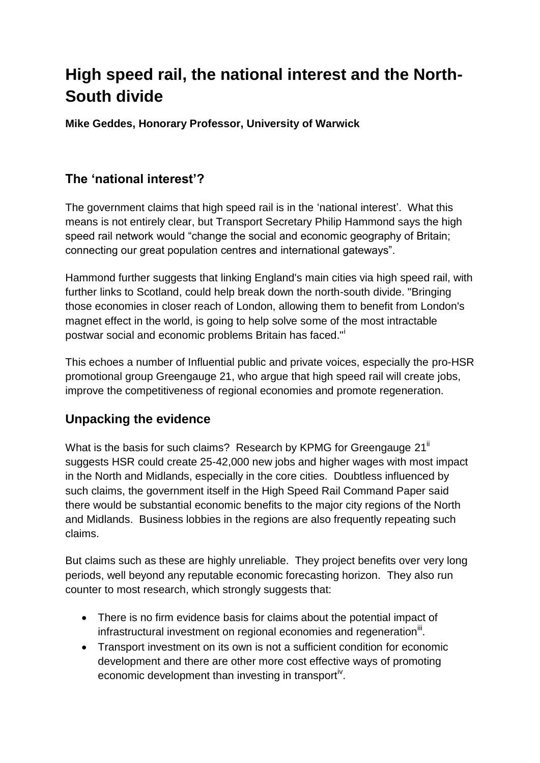# **High speed rail, the national interest and the North-South divide**

**Mike Geddes, Honorary Professor, University of Warwick**

## **The 'national interest'?**

The government claims that high speed rail is in the 'national interest'. What this means is not entirely clear, but Transport Secretary Philip Hammond says the high speed rail network would "change the social and economic geography of Britain; connecting our great population centres and international gateways".

Hammond further suggests that linking England's main cities via high speed rail, with further links to Scotland, could help break down the north-south divide. "Bringing those economies in closer reach of London, allowing them to benefit from London's magnet effect in the world, is going to help solve some of the most intractable postwar social and economic problems Britain has faced."<sup>i</sup>

This echoes a number of Influential public and private voices, especially the pro-HSR promotional group Greengauge 21, who argue that high speed rail will create jobs, improve the competitiveness of regional economies and promote regeneration.

#### **Unpacking the evidence**

What is the basis for such claims? Research by KPMG for Greengauge  $21<sup>ii</sup>$ suggests HSR could create 25-42,000 new jobs and higher wages with most impact in the North and Midlands, especially in the core cities. Doubtless influenced by such claims, the government itself in the High Speed Rail Command Paper said there would be substantial economic benefits to the major city regions of the North and Midlands. Business lobbies in the regions are also frequently repeating such claims.

But claims such as these are highly unreliable. They project benefits over very long periods, well beyond any reputable economic forecasting horizon. They also run counter to most research, which strongly suggests that:

- There is no firm evidence basis for claims about the potential impact of infrastructural investment on regional economies and regeneration<sup>iii</sup>.
- Transport investment on its own is not a sufficient condition for economic development and there are other more cost effective ways of promoting economic development than investing in transporti<sup>v</sup>.